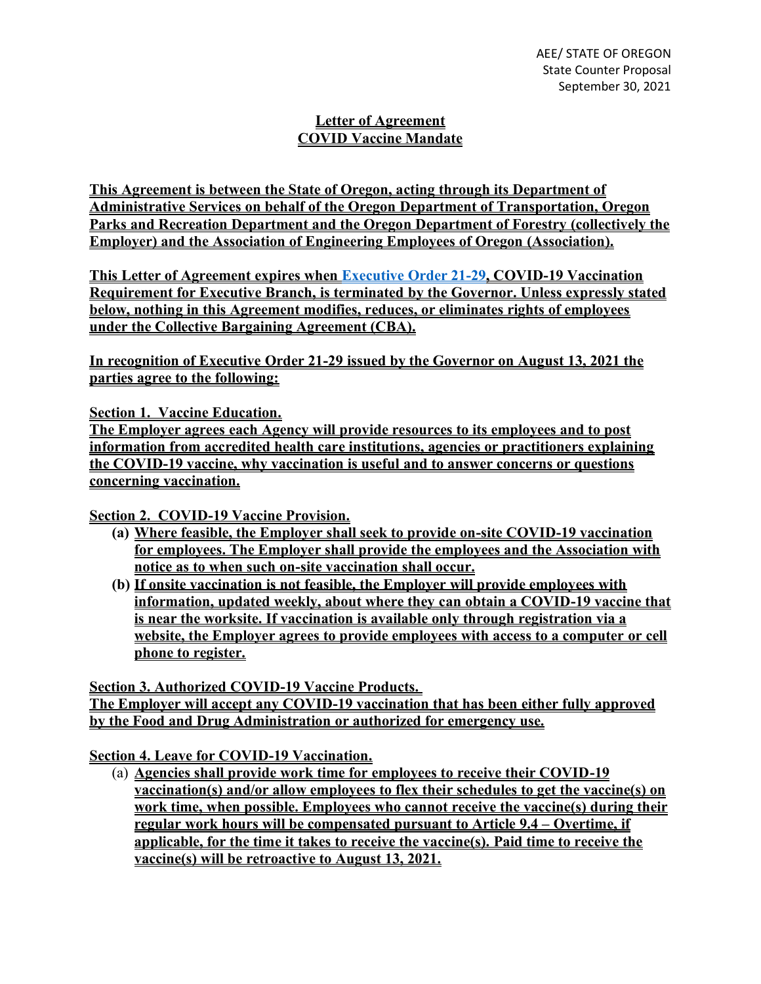## **Letter of Agreement COVID Vaccine Mandate**

**This Agreement is between the State of Oregon, acting through its Department of Administrative Services on behalf of the Oregon Department of Transportation, Oregon Parks and Recreation Department and the Oregon Department of Forestry (collectively the Employer) and the Association of Engineering Employees of Oregon (Association).**

**This Letter of Agreement expires when [Executive Order 21-29,](https://www.oregon.gov/gov/Documents/executive_orders/eo_21-29.pdf) COVID-19 Vaccination Requirement for Executive Branch, is terminated by the Governor. Unless expressly stated below, nothing in this Agreement modifies, reduces, or eliminates rights of employees under the Collective Bargaining Agreement (CBA).** 

**In recognition of Executive Order 21-29 issued by the Governor on August 13, 2021 the parties agree to the following:**

**Section 1. Vaccine Education.**

**The Employer agrees each Agency will provide resources to its employees and to post information from accredited health care institutions, agencies or practitioners explaining the COVID-19 vaccine, why vaccination is useful and to answer concerns or questions concerning vaccination.** 

**Section 2. COVID-19 Vaccine Provision.**

- **(a) Where feasible, the Employer shall seek to provide on-site COVID-19 vaccination for employees. The Employer shall provide the employees and the Association with notice as to when such on-site vaccination shall occur.**
- **(b) If onsite vaccination is not feasible, the Employer will provide employees with information, updated weekly, about where they can obtain a COVID-19 vaccine that is near the worksite. If vaccination is available only through registration via a website, the Employer agrees to provide employees with access to a computer or cell phone to register.**

**Section 3. Authorized COVID-19 Vaccine Products. The Employer will accept any COVID-19 vaccination that has been either fully approved by the Food and Drug Administration or authorized for emergency use.**

**Section 4. Leave for COVID-19 Vaccination.**

(a) **Agencies shall provide work time for employees to receive their COVID-19 vaccination(s) and/or allow employees to flex their schedules to get the vaccine(s) on work time, when possible. Employees who cannot receive the vaccine(s) during their regular work hours will be compensated pursuant to Article 9.4 – Overtime, if applicable, for the time it takes to receive the vaccine(s). Paid time to receive the vaccine(s) will be retroactive to August 13, 2021.**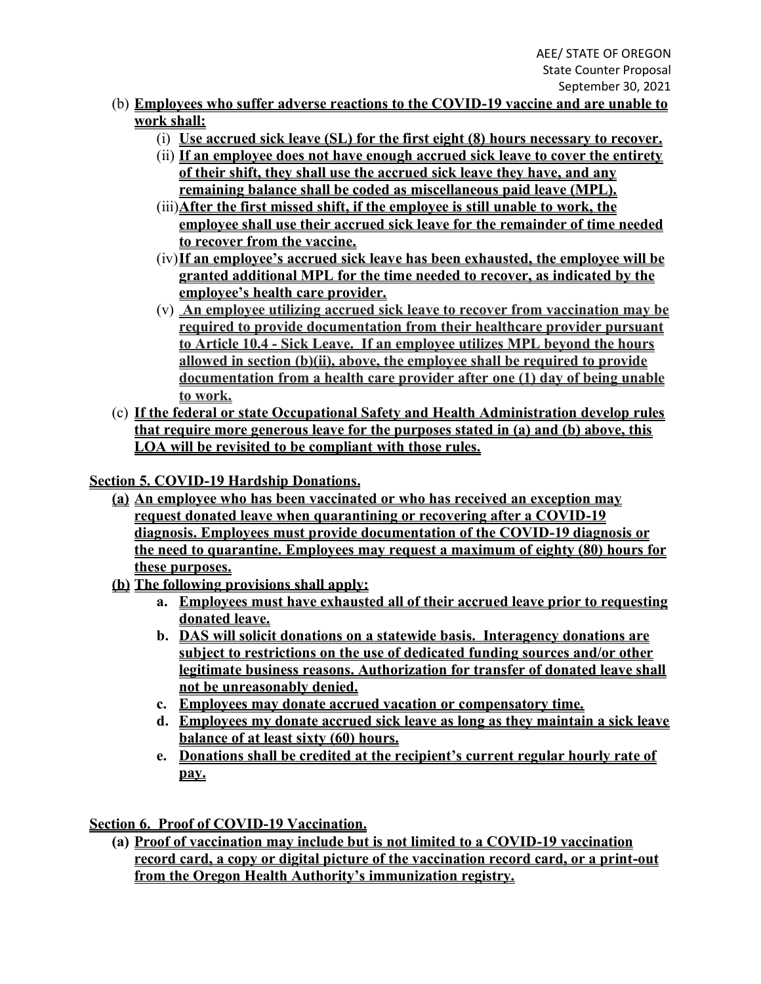- (b) **Employees who suffer adverse reactions to the COVID-19 vaccine and are unable to work shall:**
	- (i) **Use accrued sick leave (SL) for the first eight (8) hours necessary to recover.**
	- (ii) **If an employee does not have enough accrued sick leave to cover the entirety of their shift, they shall use the accrued sick leave they have, and any remaining balance shall be coded as miscellaneous paid leave (MPL).**
	- (iii)**After the first missed shift, if the employee is still unable to work, the employee shall use their accrued sick leave for the remainder of time needed to recover from the vaccine.**
	- (iv)**If an employee's accrued sick leave has been exhausted, the employee will be granted additional MPL for the time needed to recover, as indicated by the employee's health care provider.**
	- (v) **An employee utilizing accrued sick leave to recover from vaccination may be required to provide documentation from their healthcare provider pursuant to Article 10.4 - Sick Leave. If an employee utilizes MPL beyond the hours allowed in section (b)(ii), above, the employee shall be required to provide documentation from a health care provider after one (1) day of being unable to work.**
- (c) **If the federal or state Occupational Safety and Health Administration develop rules that require more generous leave for the purposes stated in (a) and (b) above, this LOA will be revisited to be compliant with those rules.**

**Section 5. COVID-19 Hardship Donations.**

- **(a) An employee who has been vaccinated or who has received an exception may request donated leave when quarantining or recovering after a COVID-19 diagnosis. Employees must provide documentation of the COVID-19 diagnosis or the need to quarantine. Employees may request a maximum of eighty (80) hours for these purposes.**
- **(b) The following provisions shall apply:**
	- **a. Employees must have exhausted all of their accrued leave prior to requesting donated leave.**
	- **b. DAS will solicit donations on a statewide basis. Interagency donations are subject to restrictions on the use of dedicated funding sources and/or other legitimate business reasons. Authorization for transfer of donated leave shall not be unreasonably denied.**
	- **c. Employees may donate accrued vacation or compensatory time.**
	- **d. Employees my donate accrued sick leave as long as they maintain a sick leave balance of at least sixty (60) hours.**
	- **e. Donations shall be credited at the recipient's current regular hourly rate of pay.**

**Section 6. Proof of COVID-19 Vaccination.**

**(a) Proof of vaccination may include but is not limited to a COVID-19 vaccination record card, a copy or digital picture of the vaccination record card, or a print-out from the Oregon Health Authority's immunization registry.**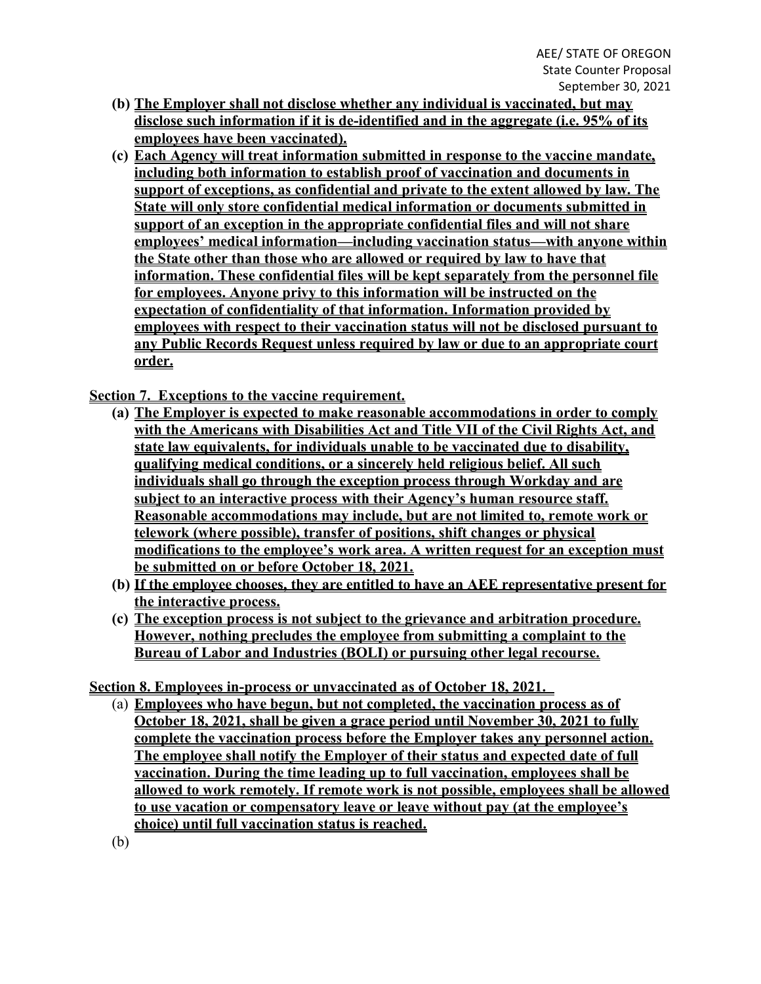- **(b) The Employer shall not disclose whether any individual is vaccinated, but may disclose such information if it is de-identified and in the aggregate (i.e. 95% of its employees have been vaccinated).**
- **(c) Each Agency will treat information submitted in response to the vaccine mandate, including both information to establish proof of vaccination and documents in support of exceptions, as confidential and private to the extent allowed by law. The State will only store confidential medical information or documents submitted in support of an exception in the appropriate confidential files and will not share employees' medical information—including vaccination status—with anyone within the State other than those who are allowed or required by law to have that information. These confidential files will be kept separately from the personnel file for employees. Anyone privy to this information will be instructed on the expectation of confidentiality of that information. Information provided by employees with respect to their vaccination status will not be disclosed pursuant to any Public Records Request unless required by law or due to an appropriate court order.**

**Section 7. Exceptions to the vaccine requirement.** 

- **(a) The Employer is expected to make reasonable accommodations in order to comply with the Americans with Disabilities Act and Title VII of the Civil Rights Act, and state law equivalents, for individuals unable to be vaccinated due to disability, qualifying medical conditions, or a sincerely held religious belief. All such individuals shall go through the exception process through Workday and are subject to an interactive process with their Agency's human resource staff. Reasonable accommodations may include, but are not limited to, remote work or telework (where possible), transfer of positions, shift changes or physical modifications to the employee's work area. A written request for an exception must be submitted on or before October 18, 2021.**
- **(b) If the employee chooses, they are entitled to have an AEE representative present for the interactive process.**
- **(c) The exception process is not subject to the grievance and arbitration procedure. However, nothing precludes the employee from submitting a complaint to the Bureau of Labor and Industries (BOLI) or pursuing other legal recourse.**

**Section 8. Employees in-process or unvaccinated as of October 18, 2021.** 

- (a) **Employees who have begun, but not completed, the vaccination process as of October 18, 2021, shall be given a grace period until November 30, 2021 to fully complete the vaccination process before the Employer takes any personnel action. The employee shall notify the Employer of their status and expected date of full vaccination. During the time leading up to full vaccination, employees shall be allowed to work remotely. If remote work is not possible, employees shall be allowed to use vacation or compensatory leave or leave without pay (at the employee's choice) until full vaccination status is reached.**
- (b)